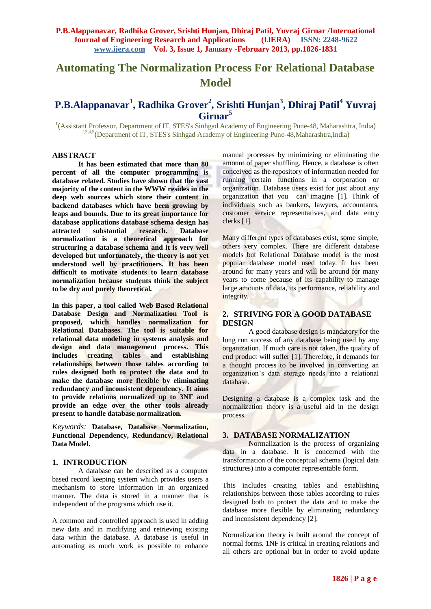# **Automating The Normalization Process For Relational Database Model**

## **P.B.Alappanavar<sup>1</sup> , Radhika Grover<sup>2</sup> , Srishti Hunjan<sup>3</sup> , Dhiraj Patil<sup>4</sup> Yuvraj Girnar<sup>5</sup>**

<sup>1</sup>(Assistant Professor, Department of IT, STES's Sinhgad Academy of Engineering Pune-48, Maharashtra, India) <sup>2,3,4,5</sup> (Department of IT, STES's Sinhgad Academy of Engineering Pune-48, Maharashtra, India)

### **ABSTRACT**

**It has been estimated that more than 80 percent of all the computer programming is database related. Studies have shown that the vast majority of the content in the WWW resides in the deep web sources which store their content in backend databases which have been growing by leaps and bounds. Due to its great importance for database applications database schema design has attracted substantial research. Database normalization is a theoretical approach for structuring a database schema and it is very well developed but unfortunately, the theory is not yet understood well by practitioners. It has been difficult to motivate students to learn database normalization because students think the subject to be dry and purely theoretical.**

**In this paper, a tool called Web Based Relational Database Design and Normalization Tool is proposed, which handles normalization for Relational Databases. The tool is suitable for relational data modeling in systems analysis and design and data management process. This includes creating tables and establishing relationships between those tables according to rules designed both to protect the data and to make the database more flexible by eliminating redundancy and inconsistent dependency. It aims to provide relations normalized up to 3NF and provide an edge over the other tools already present to handle database normalization.**

*Keywords:* **Database, Database Normalization, Functional Dependency, Redundancy, Relational Data Model.**

#### **1. INTRODUCTION**

A database can be described as a computer based record keeping system which provides users a mechanism to store information in an organized manner. The data is stored in a manner that is independent of the programs which use it.

A common and controlled approach is used in adding new data and in modifying and retrieving existing data within the database. A database is useful in automating as much work as possible to enhance

manual processes by minimizing or eliminating the amount of paper shuffling. Hence, a database is often conceived as the repository of information needed for running certain functions in a corporation or organization. Database users exist for just about any organization that you can imagine [1]. Think of individuals such as bankers, lawyers, accountants, customer service representatives, and data entry clerks [1].

Many different types of databases exist, some simple, others very complex. There are different database models but Relational Database model is the most popular database model used today. It has been around for many years and will be around for many years to come because of its capability to manage large amounts of data, its performance, reliability and integrity.

## **2. STRIVING FOR A GOOD DATABASE DESIGN**

A good database design is mandatory for the long run success of any database being used by any organization. If much care is not taken, the quality of end product will suffer [1]. Therefore, it demands for a thought process to be involved in converting an organization's data storage needs into a relational database.

Designing a database is a complex task and the normalization theory is a useful aid in the design process.

#### **3. DATABASE NORMALIZATION**

Normalization is the process of organizing data in a database. It is concerned with the transformation of the conceptual schema (logical data structures) into a computer representable form.

This includes creating tables and establishing relationships between those tables according to rules designed both to protect the data and to make the database more flexible by eliminating redundancy and inconsistent dependency [2].

Normalization theory is built around the concept of normal forms. 1NF is critical in creating relations and all others are optional but in order to avoid update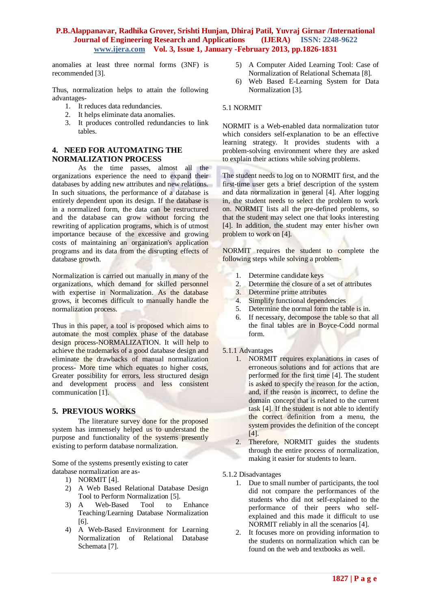anomalies at least three normal forms (3NF) is recommended [3].

Thus, normalization helps to attain the following advantages-

- 1. It reduces data redundancies.
- 2. It helps eliminate data anomalies.
- 3. It produces controlled redundancies to link tables.

#### **4. NEED FOR AUTOMATING THE NORMALIZATION PROCESS**

As the time passes, almost all the organizations experience the need to expand their databases by adding new attributes and new relations. In such situations, the performance of a database is entirely dependent upon its design. If the database is in a normalized form, the data can be restructured and the database can grow without forcing the rewriting of application programs, which is of utmost importance because of the excessive and growing costs of maintaining an organization's application programs and its data from the disrupting effects of database growth.

Normalization is carried out manually in many of the organizations, which demand for skilled personnel with expertise in Normalization. As the database grows, it becomes difficult to manually handle the normalization process.

Thus in this paper, a tool is proposed which aims to automate the most complex phase of the database design process-NORMALIZATION. It will help to achieve the trademarks of a good database design and eliminate the drawbacks of manual normalization process- More time which equates to higher costs, Greater possibility for errors, less structured design and development process and less consistent communication [1].

## **5. PREVIOUS WORKS**

The literature survey done for the proposed system has immensely helped us to understand the purpose and functionality of the systems presently existing to perform database normalization.

Some of the systems presently existing to cater database normalization are as-

- 1) NORMIT [4].
- 2) A Web Based Relational Database Design Tool to Perform Normalization [5].
- 3) A Web-Based Tool to Enhance Teaching/Learning Database Normalization [6].
- 4) A Web-Based Environment for Learning Normalization of Relational Database Schemata [7].
- 5) A Computer Aided Learning Tool: Case of Normalization of Relational Schemata [8].
- 6) Web Based E-Learning System for Data Normalization [3].

#### 5.1 NORMIT

NORMIT is a Web-enabled data normalization tutor which considers self-explanation to be an effective learning strategy. It provides students with a problem-solving environment where they are asked to explain their actions while solving problems.

The student needs to log on to NORMIT first, and the first-time user gets a brief description of the system and data normalization in general [4]. After logging in, the student needs to select the problem to work on. NORMIT lists all the pre-defined problems, so that the student may select one that looks interesting [4]. In addition, the student may enter his/her own problem to work on [4].

NORMIT requires the student to complete the following steps while solving a problem-

- 1. Determine candidate keys
- 2. Determine the closure of a set of attributes
- 2. Determine the closure of a<br>3. Determine prime attributes
- 4. Simplify functional dependencies
- 5. Determine the normal form the table is in.
- 6. If necessary, decompose the table so that all the final tables are in Boyce-Codd normal form.

#### 5.1.1 Advantages

- 1. NORMIT requires explanations in cases of erroneous solutions and for actions that are performed for the first time [4]. The student is asked to specify the reason for the action, and, if the reason is incorrect, to define the domain concept that is related to the current task [4]. If the student is not able to identify the correct definition from a menu, the system provides the definition of the concept [4].
- 2. Therefore, NORMIT guides the students through the entire process of normalization, making it easier for students to learn.
- 5.1.2 Disadvantages
	- 1. Due to small number of participants, the tool did not compare the performances of the students who did not self-explained to the performance of their peers who selfexplained and this made it difficult to use NORMIT reliably in all the scenarios [4].
	- 2. It focuses more on providing information to the students on normalization which can be found on the web and textbooks as well.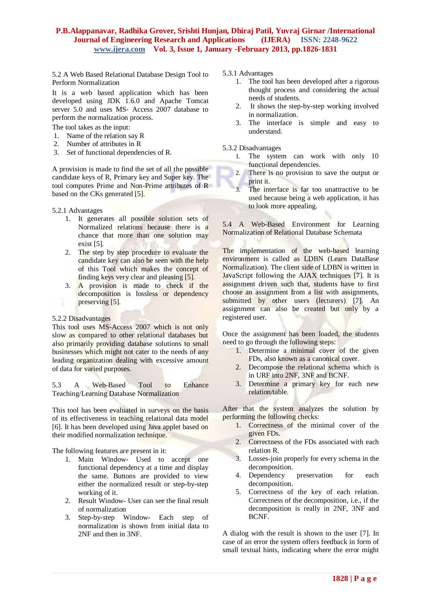5.2 A Web Based Relational Database Design Tool to Perform Normalization

It is a web based application which has been developed using JDK 1.6.0 and Apache Tomcat server 5.0 and uses MS- Access 2007 database to perform the normalization process.

The tool takes as the input:

- 1. Name of the relation say R
- 2. Number of attributes in R
- 3. Set of functional dependencies of R.

A provision is made to find the set of all the possible candidate keys of R, Primary key and Super key. The tool computes Prime and Non-Prime attributes of R based on the CKs generated [5].

5.2.1 Advantages

- 1. It generates all possible solution sets of Normalized relations because there is a chance that more than one solution may exist [5].
- 2. The step by step procedure to evaluate the candidate key can also be seen with the help of this Tool which makes the concept of finding keys very clear and pleasing [5].
- 3. A provision is made to check if the decomposition is lossless or dependency preserving [5].

#### 5.2.2 Disadvantages

This tool uses MS-Access 2007 which is not only slow as compared to other relational databases but also primarily providing database solutions to small businesses which might not cater to the needs of any leading organization dealing with excessive amount of data for varied purposes.

5.3 A Web-Based Tool to Enhance Teaching/Learning Database Normalization

This tool has been evaluated in surveys on the basis of its effectiveness in teaching relational data model [6]. It has been developed using Java applet based on their modified normalization technique.

The following features are present in it:

- 1. Main Window- Used to accept one functional dependency at a time and display the same. Buttons are provided to view either the normalized result or step-by-step working of it.
- 2. Result Window- User can see the final result of normalization
- 3. Step-by-step Window- Each step of normalization is shown from initial data to 2NF and then in 3NF.

5.3.1 Advantages

- 1. The tool has been developed after a rigorous thought process and considering the actual needs of students.
- 2. It shows the step-by-step working involved in normalization.
- 3. The interface is simple and easy to understand.

5.3.2 Disadvantages

- 1. The system can work with only 10 functional dependencies.
- 2. There is no provision to save the output or print it.
- 3. The interface is far too unattractive to be used because being a web application, it has to look more appealing.

5.4 A Web-Based Environment for Learning Normalization of Relational Database Schemata

The implementation of the web-based learning environment is called as LDBN (Learn DataBase Normalization). The client side of LDBN is written in JavaScript following the AJAX techniques [7]. It is assignment driven such that, students have to first choose an assignment from a list with assignments, submitted by other users (lecturers) [7]. An assignment can also be created but only by a registered user.

Once the assignment has been loaded, the students need to go through the following steps:

- 1. Determine a minimal cover of the given FDs, also known as a canonical cover.
- 2. Decompose the relational schema which is in URF into 2NF, 3NF and BCNF.
- 3. Determine a primary key for each new relation/table.

After that the system analyzes the solution by performing the following checks:

- 1. Correctness of the minimal cover of the given FDs.
- 2. Correctness of the FDs associated with each relation R.
- 3. Losses-join properly for every schema in the decomposition.
- 4. Dependency preservation for each decomposition.
- 5. Correctness of the key of each relation. Correctness of the decomposition, i.e., if the decomposition is really in 2NF, 3NF and BCNF.

A dialog with the result is shown to the user [7]. In case of an error the system offers feedback in form of small textual hints, indicating where the error might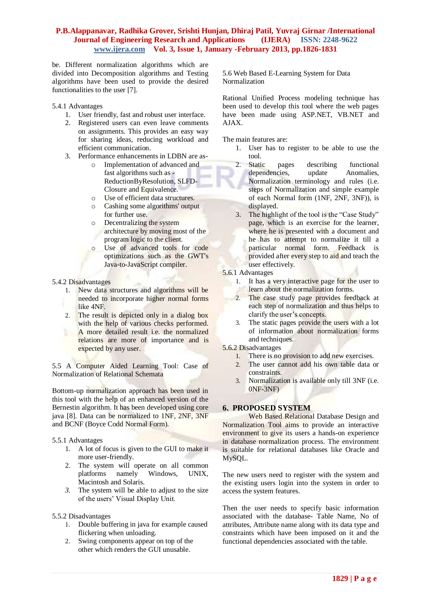be. Different normalization algorithms which are divided into Decomposition algorithms and Testing algorithms have been used to provide the desired functionalities to the user [7].

5.4.1 Advantages

- 1. User friendly, fast and robust user interface.
- 2. Registered users can even leave comments on assignments. This provides an easy way for sharing ideas, reducing workload and efficient communication.
- 3. Performance enhancements in LDBN are as
	- o Implementation of advanced and fast algorithms such as - ReductionByResolution, SLFD-Closure and Equivalence.
	- o Use of efficient data structures.
	- o Cashing some algorithms' output for further use.
	- o Decentralizing the system architecture by moving most of the program logic to the client.
	- o Use of advanced tools for code optimizations such as the GWT's Java-to-JavaScript compiler.

#### 5.4.2 Disadvantages

- 1. New data structures and algorithms will be needed to incorporate higher normal forms like 4NF.
- 2. The result is depicted only in a dialog box with the help of various checks performed. A more detailed result i.e. the normalized relations are more of importance and is expected by any user.

5.5 A Computer Aided Learning Tool: Case of Normalization of Relational Schemata

Bottom-up normalization approach has been used in this tool with the help of an enhanced version of the Bernestin algorithm. It has been developed using core java [8]. Data can be normalized to 1NF, 2NF, 3NF and BCNF (Boyce Codd Normal Form).

#### 5.5.1 Advantages

- 1. A lot of focus is given to the GUI to make it more user-friendly.
- 2. The system will operate on all common platforms namely Windows, UNIX, Macintosh and Solaris.
- *3.* The system will be able to adjust to the size of the users' Visual Display Unit.

#### 5.5.2 Disadvantages

- 1. Double buffering in java for example caused flickering when unloading.
- 2. Swing components appear on top of the other which renders the GUI unusable.

5.6 Web Based E-Learning System for Data Normalization

Rational Unified Process modeling technique has been used to develop this tool where the web pages have been made using ASP.NET, VB.NET and AJAX.

The main features are:

- 1. User has to register to be able to use the tool.
- 2. Static pages describing functional dependencies, update Anomalies. Normalization terminology and rules (i.e. steps of Normalization and simple example of each Normal form (1NF, 2NF, 3NF)), is displayed.
- 3. The highlight of the tool is the "Case Study" page, which is an exercise for the learner, where he is presented with a document and he has to attempt to normalize it till a particular normal form. Feedback is provided after every step to aid and teach the user effectively.
- 5.6.1 Advantages
	- 1. It has a very interactive page for the user to learn about the normalization forms.
	- 2. The case study page provides feedback at each step of normalization and thus helps to clarify the user's concepts.
	- 3. The static pages provide the users with a lot of information about normalization forms and techniques.
- 5.6.2 Disadvantages
	- 1. There is no provision to add new exercises.
	- 2. The user cannot add his own table data or constraints.
	- 3. Normalization is available only till 3NF (i.e. 0NF-3NF)

## **6. PROPOSED SYSTEM**

Web Based Relational Database Design and Normalization Tool aims to provide an interactive environment to give its users a hands-on experience in database normalization process. The environment is suitable for relational databases like Oracle and MySQL.

The new users need to register with the system and the existing users login into the system in order to access the system features.

Then the user needs to specify basic information associated with the database- Table Name, No of attributes, Attribute name along with its data type and constraints which have been imposed on it and the functional dependencies associated with the table.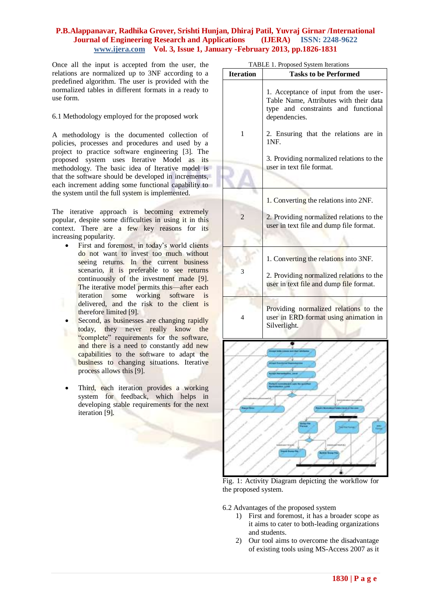Once all the input is accepted from the user, the relations are normalized up to 3NF according to a predefined algorithm. The user is provided with the normalized tables in different formats in a ready to use form.

6.1 Methodology employed for the proposed work

A methodology is the documented collection of policies, processes and procedures and used by a project to practice software engineering [3]. The proposed system uses Iterative Model as its methodology. The basic idea of Iterative model is that the software should be developed in increments, each increment adding some functional capability to the system until the full system is implemented.

The iterative approach is becoming extremely popular, despite some difficulties in using it in this context. There are a few key reasons for its increasing popularity.

- First and foremost, in today's world clients do not want to invest too much without seeing returns. In the current business scenario, it is preferable to see returns continuously of the investment made [9]. The iterative model permits this—after each iteration some working software is delivered, and the risk to the client is therefore limited [9].
- Second, as businesses are changing rapidly today, they never really know the "complete" requirements for the software, and there is a need to constantly add new capabilities to the software to adapt the business to changing situations. Iterative process allows this [9].
- Third, each iteration provides a working system for feedback, which helps in developing stable requirements for the next iteration [9].

|                  | LADLE 1. LIOPOSCO SYSTEM RELATIONS                                                                                                      |
|------------------|-----------------------------------------------------------------------------------------------------------------------------------------|
| <b>Iteration</b> | <b>Tasks to be Performed</b>                                                                                                            |
|                  | 1. Acceptance of input from the user-<br>Table Name, Attributes with their data<br>type and constraints and functional<br>dependencies. |
| 1                | 2. Ensuring that the relations are in<br>1NF.                                                                                           |
|                  | 3. Providing normalized relations to the<br>user in text file format.                                                                   |
|                  |                                                                                                                                         |
|                  | 1. Converting the relations into 2NF.                                                                                                   |
| 2                | 2. Providing normalized relations to the<br>user in text file and dump file format.                                                     |
|                  |                                                                                                                                         |
|                  | 1. Converting the relations into 3NF.                                                                                                   |
| 3                | 2. Providing normalized relations to the<br>user in text file and dump file format.                                                     |
| 4                | Providing normalized relations to the<br>user in ERD format using animation in<br>Silverlight.                                          |
|                  |                                                                                                                                         |
|                  |                                                                                                                                         |
|                  |                                                                                                                                         |
|                  |                                                                                                                                         |
|                  |                                                                                                                                         |
|                  |                                                                                                                                         |
|                  |                                                                                                                                         |
|                  |                                                                                                                                         |

Fig. 1: Activity Diagram depicting the workflow for the proposed system.

6.2 Advantages of the proposed system

- 1) First and foremost, it has a broader scope as it aims to cater to both-leading organizations and students.
- 2) Our tool aims to overcome the disadvantage of existing tools using MS-Access 2007 as it